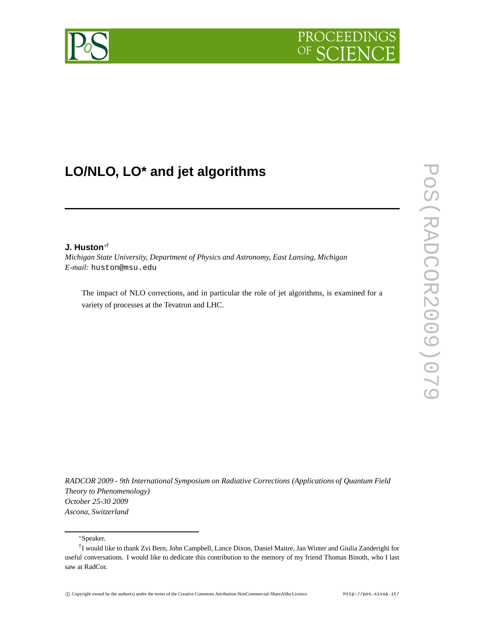

# **LO/NLO, LO\* and jet algorithms**

#### **J. Huston**∗†

*Michigan State University, Department of Physics and Astronomy, East Lansing, Michigan E-mail:* huston@msu.edu

The impact of NLO corrections, and in particular the role of jet algorithms, is examined for a variety of processes at the Tevatron and LHC.

*RADCOR 2009 - 9th International Symposium on Radiative Corrections (Applications of Quantum Field Theory to Phenomenology) October 25-30 2009 Ascona, Switzerland*

<sup>∗</sup>Speaker.

<sup>†</sup> I would like to thank Zvi Bern, John Campbell, Lance Dixon, Daniel Maitre, Jan Winter and Giulia Zanderighi for useful conversations. I would like to dedicate this contribution to the memory of my friend Thomas Binoth, who I last saw at RadCor.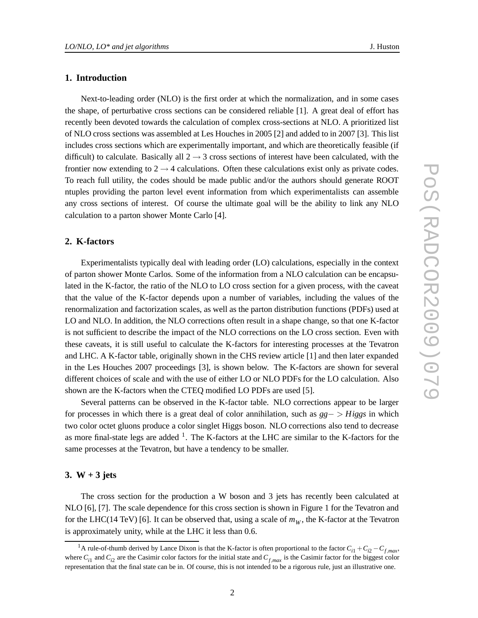## **1. Introduction**

Next-to-leading order (NLO) is the first order at which the normalization, and in some cases the shape, of perturbative cross sections can be considered reliable [1]. A great deal of effort has recently been devoted towards the calculation of complex cross-sections at NLO. A prioritized list of NLO cross sections was assembled at Les Houches in 2005 [2] and added to in 2007 [3]. This list includes cross sections which are experimentally important, and which are theoretically feasible (if difficult) to calculate. Basically all  $2 \rightarrow 3$  cross sections of interest have been calculated, with the frontier now extending to  $2 \rightarrow 4$  calculations. Often these calculations exist only as private codes. To reach full utility, the codes should be made public and/or the authors should generate ROOT ntuples providing the parton level event information from which experimentalists can assemble any cross sections of interest. Of course the ultimate goal will be the ability to link any NLO calculation to a parton shower Monte Carlo [4].

#### **2. K-factors**

Experimentalists typically deal with leading order (LO) calculations, especially in the context of parton shower Monte Carlos. Some of the information from a NLO calculation can be encapsulated in the K-factor, the ratio of the NLO to LO cross section for a given process, with the caveat that the value of the K-factor depends upon a number of variables, including the values of the renormalization and factorization scales, as well as the parton distribution functions (PDFs) used at LO and NLO. In addition, the NLO corrections often result in a shape change, so that one K-factor is not sufficient to describe the impact of the NLO corrections on the LO cross section. Even with these caveats, it is still useful to calculate the K-factors for interesting processes at the Tevatron and LHC. A K-factor table, originally shown in the CHS review article [1] and then later expanded in the Les Houches 2007 proceedings [3], is shown below. The K-factors are shown for several different choices of scale and with the use of either LO or NLO PDFs for the LO calculation. Also shown are the K-factors when the CTEQ modified LO PDFs are used [5].

Several patterns can be observed in the K-factor table. NLO corrections appear to be larger for processes in which there is a great deal of color annihilation, such as *gg*− > *Higgs* in which two color octet gluons produce a color singlet Higgs boson. NLO corrections also tend to decrease as more final-state legs are added  $<sup>1</sup>$ . The K-factors at the LHC are similar to the K-factors for the</sup> same processes at the Tevatron, but have a tendency to be smaller.

#### **3. W + 3 jets**

The cross section for the production a W boson and 3 jets has recently been calculated at NLO [6], [7]. The scale dependence for this cross section is shown in Figure 1 for the Tevatron and for the LHC(14 TeV) [6]. It can be observed that, using a scale of  $m_W$ , the K-factor at the Tevatron is approximately unity, while at the LHC it less than 0.6.

<sup>&</sup>lt;sup>1</sup>A rule-of-thumb derived by Lance Dixon is that the K-factor is often proportional to the factor  $C_{i1} + C_{i2} - C_{f,max}$ , where  $C_{i1}$  and  $C_{i2}$  are the Casimir color factors for the initial state and  $C_{f,max}$  is the Casimir factor for the biggest color representation that the final state can be in. Of course, this is not intended to be a rigorous rule, just an illustrative one.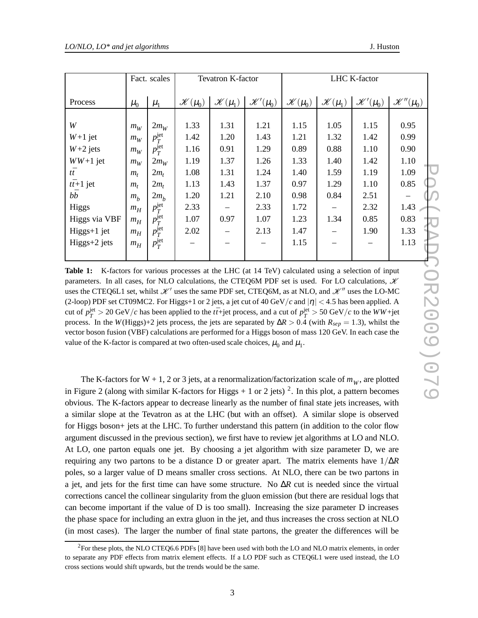|                  | Fact. scales |                    | <b>Tevatron K-factor</b> |                      |                       | <b>LHC K-factor</b>  |                      |                       |                        |
|------------------|--------------|--------------------|--------------------------|----------------------|-----------------------|----------------------|----------------------|-----------------------|------------------------|
| Process          | $\mu_0$      | $\mu_1$            | $\mathcal{K}(\mu_0)$     | $\mathscr{K}(\mu_1)$ | $\mathscr{K}'(\mu_0)$ | $\mathscr{K}(\mu_0)$ | $\mathscr{K}(\mu_1)$ | $\mathscr{K}'(\mu_0)$ | $\mathscr{K}''(\mu_0)$ |
|                  |              |                    |                          |                      |                       |                      |                      |                       |                        |
| W                | $m_W$        | $2m_W$             | 1.33                     | 1.31                 | 1.21                  | 1.15                 | 1.05                 | 1.15                  | 0.95                   |
| $W+1$ jet        | $m_W$        | $p_T^{\rm jet}$    | 1.42                     | 1.20                 | 1.43                  | 1.21                 | 1.32                 | 1.42                  | 0.99                   |
| $W+2$ jets       | $m_W$        | $p_T^{\text{jet}}$ | 1.16                     | 0.91                 | 1.29                  | 0.89                 | 0.88                 | 1.10                  | 0.90                   |
| $WW+1$ jet       | $m_W$        | $2m_W$             | 1.19                     | 1.37                 | 1.26                  | 1.33                 | 1.40                 | 1.42                  | 1.10                   |
| $t\bar{t}$       | $m_{t}$      | $2m_t$             | 1.08                     | 1.31                 | 1.24                  | 1.40                 | 1.59                 | 1.19                  | 1.09                   |
| $t\bar{t}+1$ jet | $m_t$        | $2m_t$             | 1.13                     | 1.43                 | 1.37                  | 0.97                 | 1.29                 | 1.10                  | 0.85                   |
| b $\bar{b}$      | $m_h$        | $2m_h$             | 1.20                     | 1.21                 | 2.10                  | 0.98                 | 0.84                 | 2.51                  |                        |
| Higgs            | $m_H$        | $p_T^{\rm jet}$    | 2.33                     |                      | 2.33                  | 1.72                 |                      | 2.32                  | 1.43                   |
| Higgs via VBF    | $m_H$        | $p_T^{\text{jet}}$ | 1.07                     | 0.97                 | 1.07                  | 1.23                 | 1.34                 | 0.85                  | 0.83                   |
| Higgs+1 jet      | $m_H$        | $p_T^{\text{jet}}$ | 2.02                     |                      | 2.13                  | 1.47                 |                      | 1.90                  | 1.33                   |
| $Higgs+2$ jets   | $m_H$        | $p_T^{\text{jet}}$ |                          |                      |                       | 1.15                 |                      |                       | 1.13                   |
|                  |              |                    |                          |                      |                       |                      |                      |                       |                        |

**Table 1:** K-factors for various processes at the LHC (at 14 TeV) calculated using a selection of input *bb*<br>
Higgs  $m_h$   $2m_h$   $p_f^{jet}$  2.33 - 2.33 1.72 - 2.33 1.72 - 2.51 1.43 - 2.52 1.43 - 1.62 - 2.52 1.43 - 1.62 - 1.62 - 1.62 - 1.62 - 1.90 - 2.53 1.47 - 1.90 - 2.53 1.47 - 1.90 - 2.53 1.47 - 1.90 - 2.53 1.47 - 1.90 - 2.5 uses the CTEQ6L1 set, whilst  $\mathcal{K}'$  uses the same PDF set, CTEQ6M, as at NLO, and  $\mathcal{K}''$  uses the LO-MC (2-loop) PDF set CT09MC2. For Higgs+1 or 2 jets, a jet cut of 40 GeV/*c* and  $|\eta| < 4.5$  has been applied. A cut of  $p_T^{\text{jet}} > 20 \text{ GeV}/c$  has been applied to the *tt*+jet process, and a cut of  $p_T^{\text{jet}} > 50 \text{ GeV}/c$  to the *WW*+jet process. In the *W*(Higgs)+2 jets process, the jets are separated by  $\Delta R > 0.4$  (with  $R_{\text{sep}} = 1.3$ ), whilst the vector boson fusion (VBF) calculations are performed for a Higgs boson of mass 120 GeV. In each case the value of the K-factor is compared at two often-used scale choices,  $\mu_0$  and  $\mu_1$ .

The K-factors for W + 1, 2 or 3 jets, at a renormalization/factorization scale of  $m_W$ , are plotted in Figure 2 (along with similar K-factors for Higgs  $+1$  or 2 jets) <sup>2</sup>. In this plot, a pattern becomes obvious. The K-factors appear to decrease linearly as the number of final state jets increases, with a similar slope at the Tevatron as at the LHC (but with an offset). A similar slope is observed for Higgs boson+ jets at the LHC. To further understand this pattern (in addition to the color flow argument discussed in the previous section), we first have to review jet algorithms at LO and NLO. At LO, one parton equals one jet. By choosing a jet algorithm with size parameter D, we are requiring any two partons to be a distance D or greater apart. The matrix elements have 1/∆*R* poles, so a larger value of D means smaller cross sections. At NLO, there can be two partons in a jet, and jets for the first time can have some structure. No ∆*R* cut is needed since the virtual corrections cancel the collinear singularity from the gluon emission (but there are residual logs that can become important if the value of D is too small). Increasing the size parameter D increases the phase space for including an extra gluon in the jet, and thus increases the cross section at NLO (in most cases). The larger the number of final state partons, the greater the differences will be

<sup>&</sup>lt;sup>2</sup>For these plots, the NLO CTEQ6.6 PDFs [8] have been used with both the LO and NLO matrix elements, in order to separate any PDF effects from matrix element effects. If a LO PDF such as CTEQ6L1 were used instead, the LO cross sections would shift upwards, but the trends would be the same.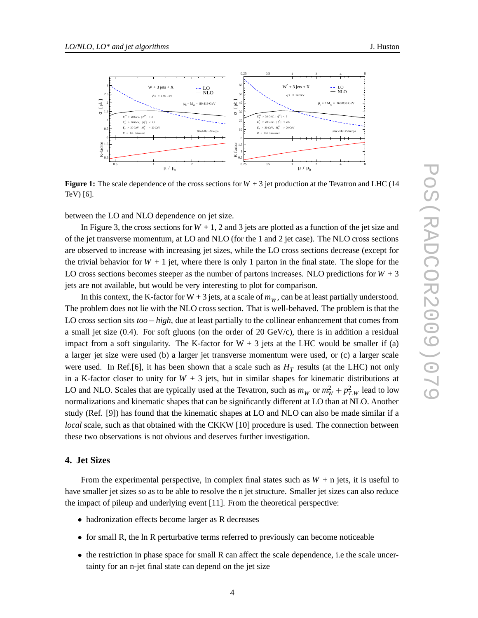

**Figure 1:** The scale dependence of the cross sections for  $W + 3$  jet production at the Tevatron and LHC (14 TeV) [6].

between the LO and NLO dependence on jet size.

In Figure 3, the cross sections for  $W + 1$ , 2 and 3 jets are plotted as a function of the jet size and of the jet transverse momentum, at LO and NLO (for the 1 and 2 jet case). The NLO cross sections are observed to increase with increasing jet sizes, while the LO cross sections decrease (except for the trivial behavior for  $W + 1$  jet, where there is only 1 parton in the final state. The slope for the LO cross sections becomes steeper as the number of partons increases. NLO predictions for  $W + 3$ jets are not available, but would be very interesting to plot for comparison.

In this context, the K-factor for  $W + 3$  jets, at a scale of  $m_W$ , can be at least partially understood. The problem does not lie with the NLO cross section. That is well-behaved. The problem is that the LO cross section sits *too*−*high*, due at least partially to the collinear enhancement that comes from a small jet size  $(0.4)$ . For soft gluons (on the order of 20 GeV/c), there is in addition a residual impact from a soft singularity. The K-factor for  $W + 3$  jets at the LHC would be smaller if (a) a larger jet size were used (b) a larger jet transverse momentum were used, or (c) a larger scale were used. In Ref.[6], it has been shown that a scale such as  $H_T$  results (at the LHC) not only in a K-factor closer to unity for  $W + 3$  jets, but in similar shapes for kinematic distributions at LO and NLO. Scales that are typically used at the Tevatron, such as  $m_W$  or  $m_W^2 + p_{T,W}^2$  lead to low normalizations and kinematic shapes that can be significantly different at LO than at NLO. Another study (Ref. [9]) has found that the kinematic shapes at LO and NLO can also be made similar if a *local* scale, such as that obtained with the CKKW [10] procedure is used. The connection between these two observations is not obvious and deserves further investigation.

#### **4. Jet Sizes**

From the experimental perspective, in complex final states such as  $W + n$  jets, it is useful to have smaller jet sizes so as to be able to resolve the n jet structure. Smaller jet sizes can also reduce the impact of pileup and underlying event [11]. From the theoretical perspective:

- hadronization effects become larger as R decreases
- for small R, the ln R perturbative terms referred to previously can become noticeable
- the restriction in phase space for small R can affect the scale dependence, i.e the scale uncertainty for an n-jet final state can depend on the jet size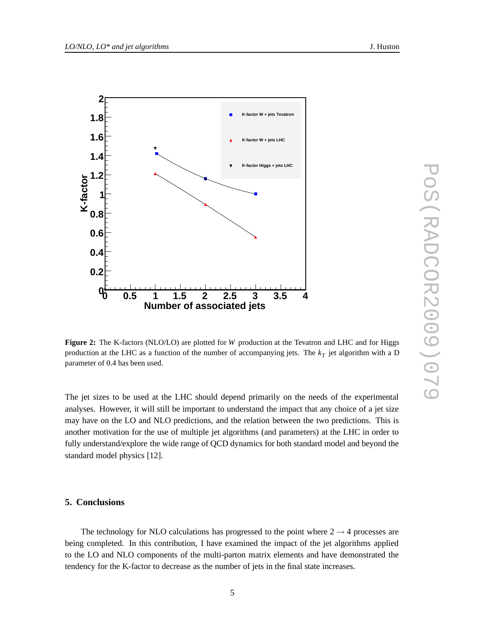

**Figure 2:** The K-factors (NLO/LO) are plotted for *W* production at the Tevatron and LHC and for Higgs production at the LHC as a function of the number of accompanying jets. The *k<sup>T</sup>* jet algorithm with a D parameter of 0.4 has been used.

The jet sizes to be used at the LHC should depend primarily on the needs of the experimental analyses. However, it will still be important to understand the impact that any choice of a jet size may have on the LO and NLO predictions, and the relation between the two predictions. This is another motivation for the use of multiple jet algorithms (and parameters) at the LHC in order to fully understand/explore the wide range of QCD dynamics for both standard model and beyond the standard model physics [12].

#### **5. Conclusions**

The technology for NLO calculations has progressed to the point where  $2 \rightarrow 4$  processes are being completed. In this contribution, I have examined the impact of the jet algorithms applied to the LO and NLO components of the multi-parton matrix elements and have demonstrated the tendency for the K-factor to decrease as the number of jets in the final state increases.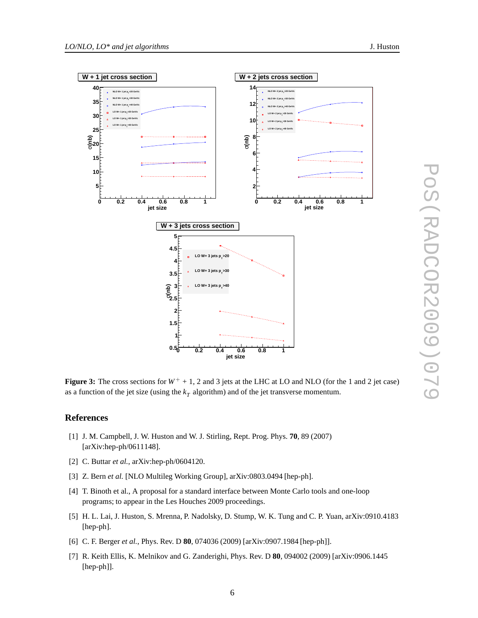

**Figure 3:** The cross sections for  $W^+ + 1$ , 2 and 3 jets at the LHC at LO and NLO (for the 1 and 2 jet case) as a function of the jet size (using the  $k<sub>T</sub>$  algorithm) and of the jet transverse momentum.

### **References**

- [1] J. M. Campbell, J. W. Huston and W. J. Stirling, Rept. Prog. Phys. **70**, 89 (2007) [arXiv:hep-ph/0611148].
- [2] C. Buttar *et al.*, arXiv:hep-ph/0604120.
- [3] Z. Bern *et al.* [NLO Multileg Working Group], arXiv:0803.0494 [hep-ph].
- [4] T. Binoth et al., A proposal for a standard interface between Monte Carlo tools and one-loop programs; to appear in the Les Houches 2009 proceedings.
- [5] H. L. Lai, J. Huston, S. Mrenna, P. Nadolsky, D. Stump, W. K. Tung and C. P. Yuan, arXiv:0910.4183 [hep-ph].
- [6] C. F. Berger *et al.*, Phys. Rev. D **80**, 074036 (2009) [arXiv:0907.1984 [hep-ph]].
- [7] R. Keith Ellis, K. Melnikov and G. Zanderighi, Phys. Rev. D **80**, 094002 (2009) [arXiv:0906.1445 [hep-ph]].